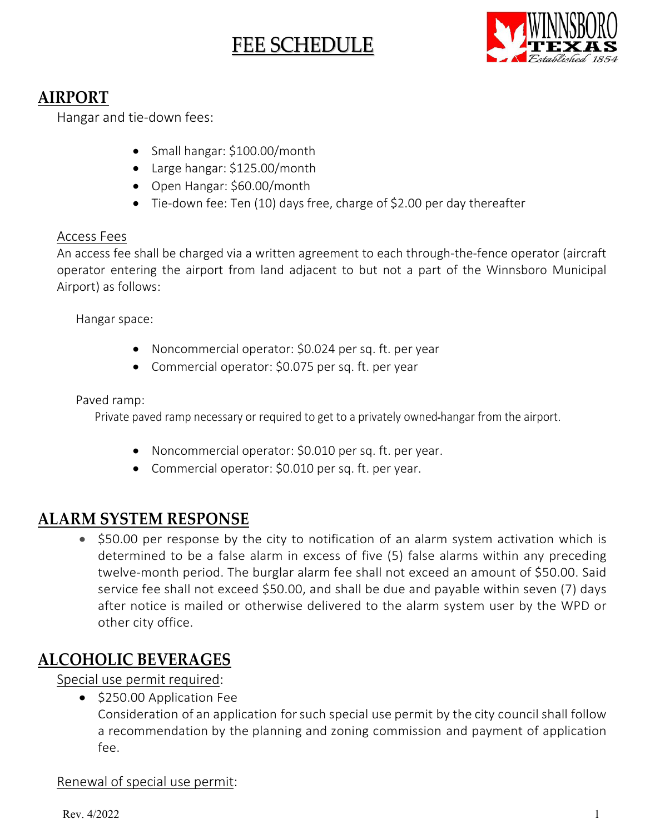# FEE SCHEDULE



# **AIRPORT**

Hangar and tie-down fees:

- Small hangar: \$100.00/month
- Large hangar: \$125.00/month
- Open Hangar: \$60.00/month
- Tie-down fee: Ten (10) days free, charge of \$2.00 per day thereafter

#### Access Fees

An access fee shall be charged via a written agreement to each through-the-fence operator (aircraft operator entering the airport from land adjacent to but not a part of the Winnsboro Municipal Airport) as follows:

Hangar space:

- Noncommercial operator: \$0.024 per sq. ft. per year
- Commercial operator: \$0.075 per sq. ft. per year

Paved ramp:

Private paved ramp necessary or required to get to a privately owned hangar from the airport.

- Noncommercial operator: \$0.010 per sq. ft. per year.
- Commercial operator: \$0.010 per sq. ft. per year.

### **ALARM SYSTEM RESPONSE**

• \$50.00 per response by the city to notification of an alarm system activation which is determined to be a false alarm in excess of five (5) false alarms within any preceding twelve-month period. The burglar alarm fee shall not exceed an amount of \$50.00. Said service fee shall not exceed \$50.00, and shall be due and payable within seven (7) days after notice is mailed or otherwise delivered to the alarm system user by the WPD or other city office.

### **ALCOHOLIC BEVERAGES**

Special use permit required:

• \$250.00 Application Fee

Consideration of an application forsuch special use permit by the city council shall follow a recommendation by the planning and zoning commission and payment of application fee.

### Renewal of special use permit: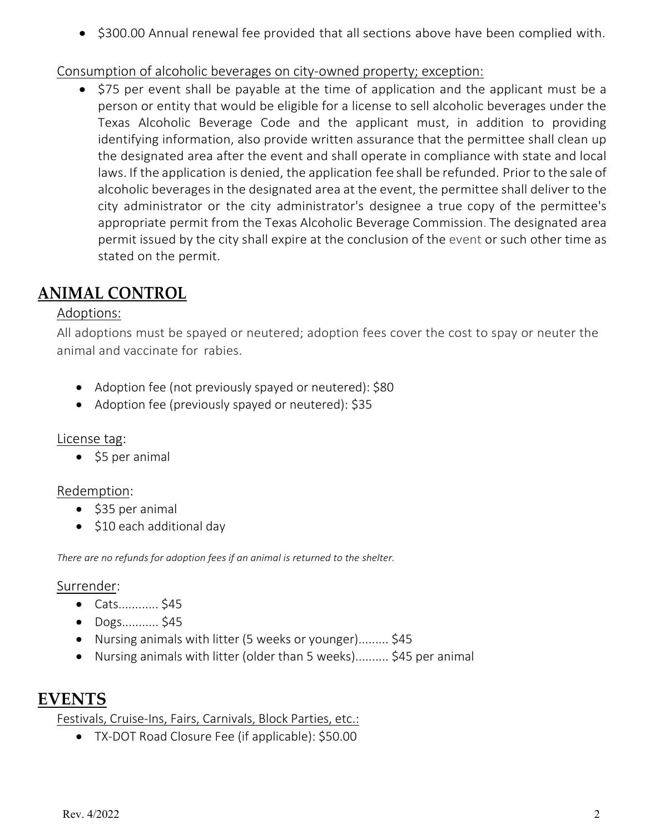• \$300.00 Annual renewal fee provided that all sections above have been complied with.

### Consumption of alcoholic beverages on city-owned property; exception:

• \$75 per event shall be payable at the time of application and the applicant must be a person or entity that would be eligible for a license to sell alcoholic beverages under the Texas Alcoholic Beverage Code and the applicant must, in addition to providing identifying information, also provide written assurance that the permittee shall clean up the designated area after the event and shall operate in compliance with state and local laws. If the application is denied, the application fee shall be refunded. Prior to the sale of alcoholic beverages in the designated area at the event, the permittee shall deliver to the city administrator or the city administrator's designee a true copy of the permittee's appropriate permit from the Texas Alcoholic Beverage Commission. The designated area permit issued by the city shall expire at the conclusion of the event or such other time as stated on the permit.

# **ANIMAL CONTROL**

#### Adoptions:

All adoptions must be spayed or neutered; adoption fees cover the cost to spay or neuter the animal and vaccinate for rabies.

- Adoption fee (not previously spayed or neutered): \$80
- Adoption fee (previously spayed or neutered): \$35

#### License tag:

• \$5 per animal

#### Redemption:

- \$35 per animal
- \$10 each additional day

*There are no refunds for adoption fees if an animal is returned to the shelter.*

#### Surrender:

- Cats............ \$45
- Dogs........... \$45
- Nursing animals with litter (5 weeks or younger)......... \$45
- Nursing animals with litter (older than 5 weeks).......... \$45 per animal

### **EVENTS**

Festivals, Cruise-Ins, Fairs, Carnivals, Block Parties, etc.:

• TX-DOT Road Closure Fee (if applicable): \$50.00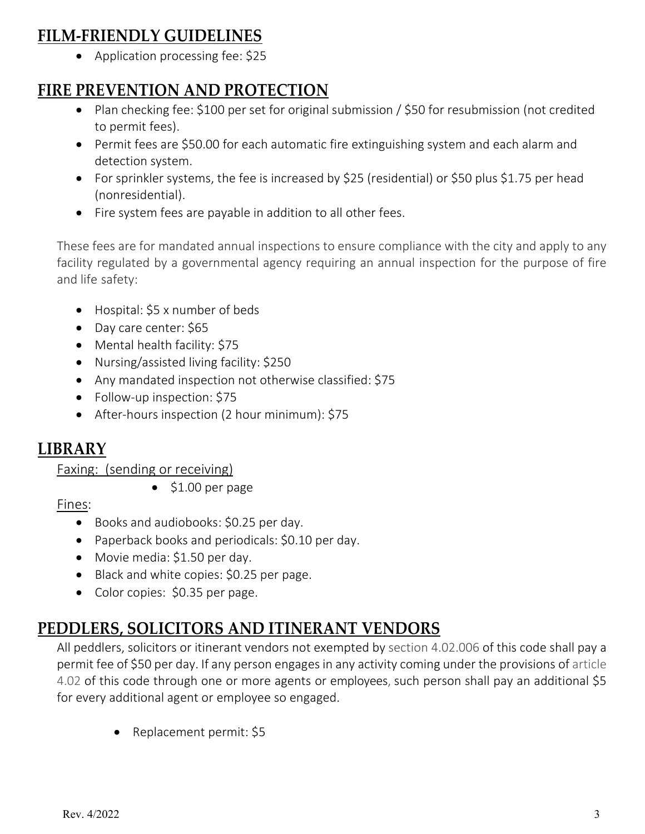# **FILM-FRIENDLY GUIDELINES**

• Application processing fee: \$25

# **FIRE PREVENTION AND PROTECTION**

- Plan checking fee: \$100 per set for original submission / \$50 for resubmission (not credited to permit fees).
- Permit fees are \$50.00 for each automatic fire extinguishing system and each alarm and detection system.
- For sprinkler systems, the fee is increased by \$25 (residential) or \$50 plus \$1.75 per head (nonresidential).
- Fire system fees are payable in addition to all other fees.

These fees are for mandated annual inspections to ensure compliance with the city and apply to any facility regulated by a governmental agency requiring an annual inspection for the purpose of fire and life safety:

- Hospital: \$5 x number of beds
- Day care center: \$65
- Mental health facility: \$75
- Nursing/assisted living facility: \$250
- Any mandated inspection not otherwise classified: \$75
- Follow-up inspection: \$75
- After-hours inspection (2 hour minimum): \$75

### **LIBRARY**

Faxing: (sending or receiving)

• \$1.00 per page

Fines:

- Books and audiobooks: \$0.25 per day.
- Paperback books and periodicals: \$0.10 per day.
- Movie media: \$1.50 per day.
- Black and white copies: \$0.25 per page.
- Color copies: \$0.35 per page.

# **PEDDLERS, SOLICITORS AND ITINERANT VENDORS**

All peddlers, solicitors or itinerant vendors not exempted by section 4.02.006 of this code shall pay a permit fee of \$50 per day. If any person engages in any activity coming under the provisions of article 4.02 of this code through one or more agents or employees, such person shall pay an additional \$5 for every additional agent or employee so engaged.

• Replacement permit: \$5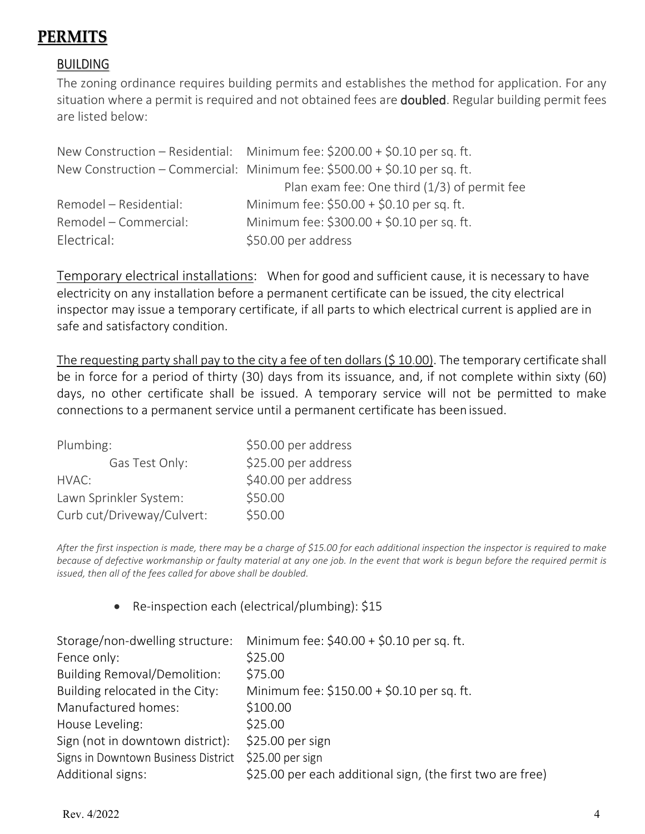# PERMITS

### **BUILDING**

The zoning ordinance requires building permits and establishes the method for application. For any situation where a permit is required and not obtained fees are **doubled**. Regular building permit fees are listed below:

|                        | New Construction – Residential: Minimum fee: $$200.00 + $0.10$ per sq. ft. |
|------------------------|----------------------------------------------------------------------------|
|                        | New Construction – Commercial: Minimum fee: \$500.00 + \$0.10 per sq. ft.  |
|                        | Plan exam fee: One third $(1/3)$ of permit fee                             |
| Remodel - Residential: | Minimum fee: \$50.00 + \$0.10 per sq. ft.                                  |
| Remodel – Commercial:  | Minimum fee: \$300.00 + \$0.10 per sq. ft.                                 |
| Electrical:            | \$50.00 per address                                                        |

Temporary electrical installations: When for good and sufficient cause, it is necessary to have electricity on any installation before a permanent certificate can be issued, the city electrical inspector may issue a temporary certificate, if all parts to which electrical current is applied are in safe and satisfactory condition.

The requesting party shall pay to the city a fee of ten dollars (\$10.00). The temporary certificate shall be in force for a period of thirty (30) days from its issuance, and, if not complete within sixty (60) days, no other certificate shall be issued. A temporary service will not be permitted to make connections to a permanent service until a permanent certificate has been issued.

| Plumbing:                  | \$50.00 per address |
|----------------------------|---------------------|
| Gas Test Only:             | \$25.00 per address |
| HVAC:                      | \$40.00 per address |
| Lawn Sprinkler System:     | \$50.00             |
| Curb cut/Driveway/Culvert: | \$50.00             |

*After the first inspection is made, there may be a charge of \$15.00 for each additional inspection the inspector is required to make because of defective workmanship or faulty material at any one job. In the event that work is begun before the required permit is issued, then all of the fees called for above shall be doubled.*

• Re-inspection each (electrical/plumbing): \$15

| Storage/non-dwelling structure:     | Minimum fee: \$40.00 + \$0.10 per sq. ft.                  |
|-------------------------------------|------------------------------------------------------------|
| Fence only:                         | \$25.00                                                    |
| <b>Building Removal/Demolition:</b> | \$75.00                                                    |
| Building relocated in the City:     | Minimum fee: \$150.00 + \$0.10 per sq. ft.                 |
| Manufactured homes:                 | \$100.00                                                   |
| House Leveling:                     | \$25.00                                                    |
| Sign (not in downtown district):    | \$25.00 per sign                                           |
| Signs in Downtown Business District | \$25.00 per sign                                           |
| Additional signs:                   | \$25.00 per each additional sign, (the first two are free) |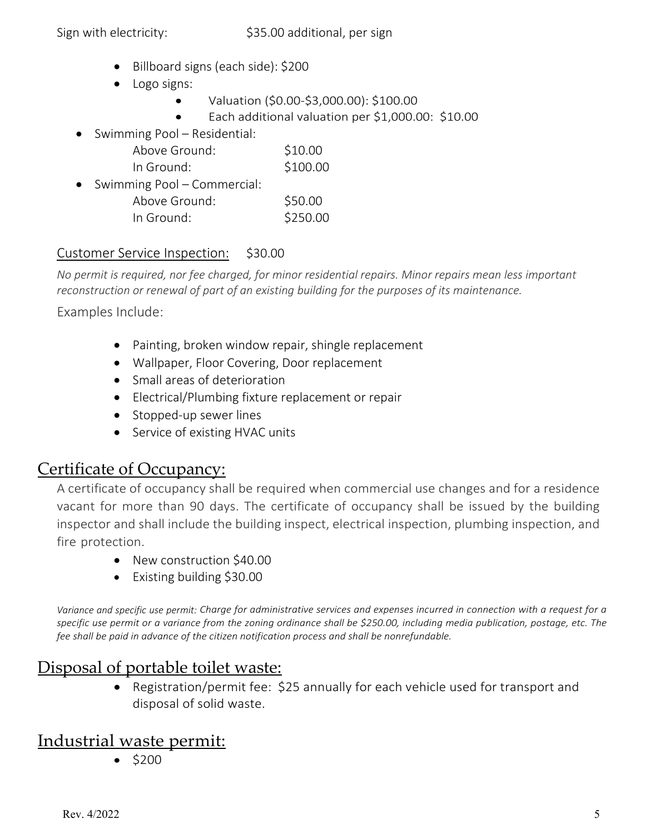- Billboard signs (each side): \$200
- Logo signs:
	- Valuation (\$0.00-\$3,000.00): \$100.00
	- Each additional valuation per \$1,000.00: \$10.00
- Swimming Pool Residential:

| Above Ground: | \$10.00  |
|---------------|----------|
| In Ground:    | \$100.00 |

• Swimming Pool – Commercial:

| Above Ground: | \$50.00  |
|---------------|----------|
| In Ground:    | \$250.00 |

### Customer Service Inspection: \$30.00

*No permit is required, nor fee charged, for minor residential repairs. Minor repairs mean less important reconstruction or renewal of part of an existing building for the purposes of its maintenance.*

Examples Include:

- Painting, broken window repair, shingle replacement
- Wallpaper, Floor Covering, Door replacement
- Small areas of deterioration
- Electrical/Plumbing fixture replacement or repair
- Stopped-up sewer lines
- Service of existing HVAC units

### Certificate of Occupancy:

A certificate of occupancy shall be required when commercial use changes and for a residence vacant for more than 90 days. The certificate of occupancy shall be issued by the building inspector and shall include the building inspect, electrical inspection, plumbing inspection, and fire protection.

- New construction \$40.00
- Existing building \$30.00

*Variance and specific use permit: Charge for administrative services and expenses incurred in connection with a request for a specific use permit or a variance from the zoning ordinance shall be \$250.00, including media publication, postage, etc. The fee shall be paid in advance of the citizen notification process and shall be nonrefundable.* 

### Disposal of portable toilet waste:

• Registration/permit fee: \$25 annually for each vehicle used for transport and disposal of solid waste.

### Industrial waste permit:

• \$200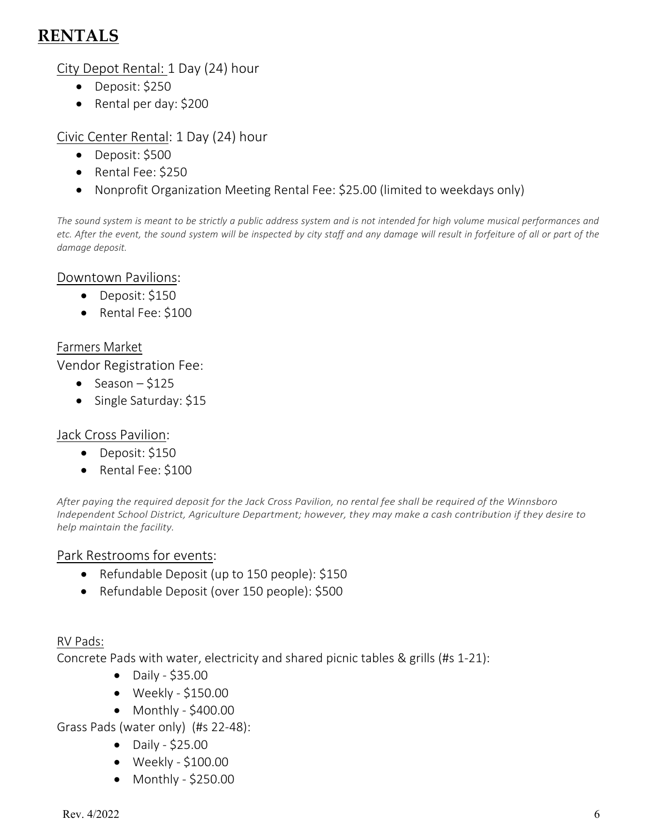# **RENTALS**

City Depot Rental: 1 Day (24) hour

- Deposit: \$250
- Rental per day: \$200

### Civic Center Rental: 1 Day (24) hour

- Deposit: \$500
- Rental Fee: \$250
- Nonprofit Organization Meeting Rental Fee: \$25.00 (limited to weekdays only)

*The sound system is meant to be strictly a public address system and is not intended for high volume musical performances and etc. After the event, the sound system will be inspected by city staff and any damage will result in forfeiture of all or part of the damage deposit.* 

### Downtown Pavilions:

- Deposit: \$150
- Rental Fee: \$100

### Farmers Market

Vendor Registration Fee:

- Season  $-$  \$125
- Single Saturday: \$15

### Jack Cross Pavilion:

- Deposit: \$150
- Rental Fee: \$100

*After paying the required deposit for the Jack Cross Pavilion, no rental fee shall be required of the Winnsboro Independent School District, Agriculture Department; however, they may make a cash contribution if they desire to help maintain the facility.*

### Park Restrooms for events:

- Refundable Deposit (up to 150 people): \$150
- Refundable Deposit (over 150 people): \$500

### RV Pads:

Concrete Pads with water, electricity and shared picnic tables & grills (#s 1-21):

- Daily \$35.00
- Weekly \$150.00
- Monthly \$400.00

Grass Pads (water only) (#s 22-48):

- Daily \$25.00
- Weekly \$100.00
- Monthly \$250.00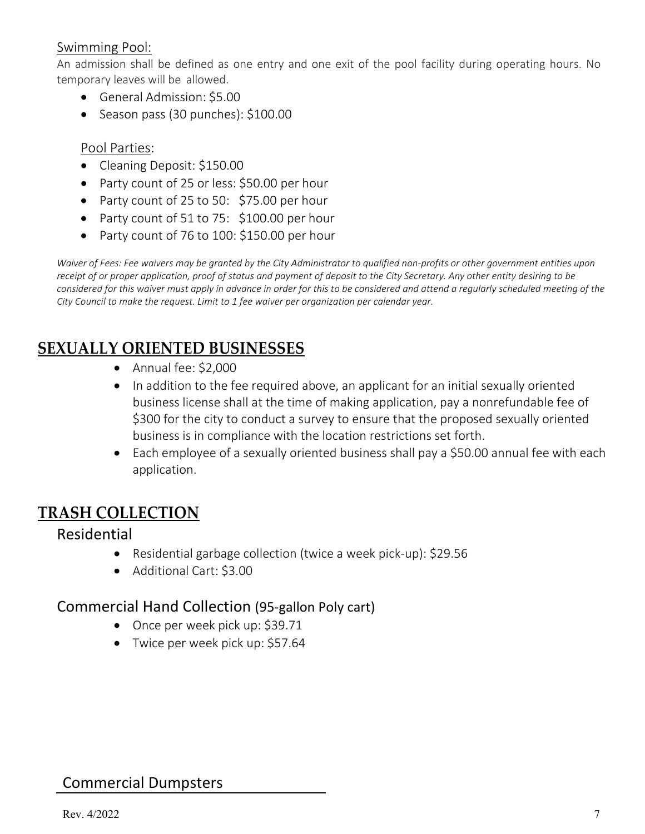### Swimming Pool:

An admission shall be defined as one entry and one exit of the pool facility during operating hours. No temporary leaves will be allowed.

- General Admission: \$5.00
- Season pass (30 punches): \$100.00

#### Pool Parties:

- Cleaning Deposit: \$150.00
- Party count of 25 or less: \$50.00 per hour
- Party count of 25 to 50: \$75.00 per hour
- Party count of 51 to 75: \$100.00 per hour
- Party count of 76 to 100: \$150.00 per hour

*Waiver of Fees: Fee waivers may be granted by the City Administrator to qualified non-profits or other government entities upon receipt of or proper application, proof of status and payment of deposit to the City Secretary. Any other entity desiring to be considered for this waiver must apply in advance in order for this to be considered and attend a regularly scheduled meeting of the City Council to make the request. Limit to 1 fee waiver per organization per calendar year.* 

### **SEXUALLY ORIENTED BUSINESSES**

- Annual fee: \$2,000
- In addition to the fee required above, an applicant for an initial sexually oriented business license shall at the time of making application, pay a nonrefundable fee of \$300 for the city to conduct a survey to ensure that the proposed sexually oriented business is in compliance with the location restrictions set forth.
- Each employee of a sexually oriented business shall pay a \$50.00 annual fee with each application.

### **TRASH COLLECTION**

### Residential

- Residential garbage collection (twice a week pick-up): \$29.56
- Additional Cart: \$3.00

### Commercial Hand Collection (95-gallon Poly cart)

- Once per week pick up: \$39.71
- Twice per week pick up: \$57.64

### Commercial Dumpsters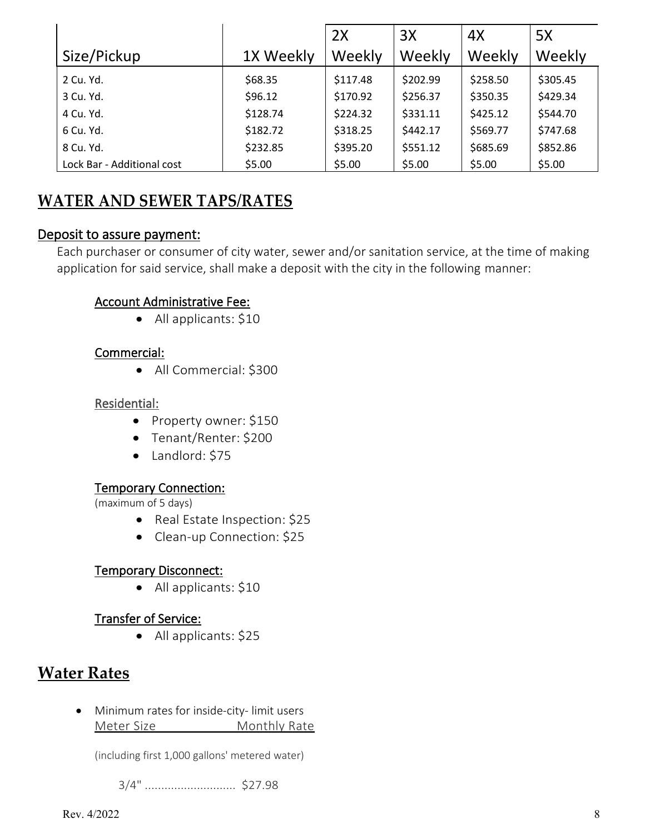|                            |           | 2X       | 3X       | 4X       | 5X       |
|----------------------------|-----------|----------|----------|----------|----------|
| Size/Pickup                | 1X Weekly | Weekly   | Weekly   | Weekly   | Weekly   |
| 2 Cu. Yd.                  | \$68.35   | \$117.48 | \$202.99 | \$258.50 | \$305.45 |
| 3 Cu. Yd.                  | \$96.12   | \$170.92 | \$256.37 | \$350.35 | \$429.34 |
| 4 Cu. Yd.                  | \$128.74  | \$224.32 | \$331.11 | \$425.12 | \$544.70 |
| 6 Cu. Yd.                  | \$182.72  | \$318.25 | \$442.17 | \$569.77 | \$747.68 |
| 8 Cu. Yd.                  | \$232.85  | \$395.20 | \$551.12 | \$685.69 | \$852.86 |
| Lock Bar - Additional cost | \$5.00    | \$5.00   | \$5.00   | \$5.00   | \$5.00   |

# **WATER AND SEWER TAPS/RATES**

#### Deposit to assure payment:

Each purchaser or consumer of city water, sewer and/or sanitation service, at the time of making application for said service, shall make a deposit with the city in the following manner:

#### Account Administrative Fee:

• All applicants: \$10

#### Commercial:

• All Commercial: \$300

#### Residential:

- Property owner: \$150
- Tenant/Renter: \$200
- Landlord: \$75

#### Temporary Connection:

(maximum of 5 days)

- Real Estate Inspection: \$25
- Clean-up Connection: \$25

#### Temporary Disconnect:

• All applicants: \$10

#### Transfer of Service:

• All applicants: \$25

### **Water Rates**

• Minimum rates for inside-city- limit users Meter Size Monthly Rate

(including first 1,000 gallons' metered water)

3/4" ............................ \$27.98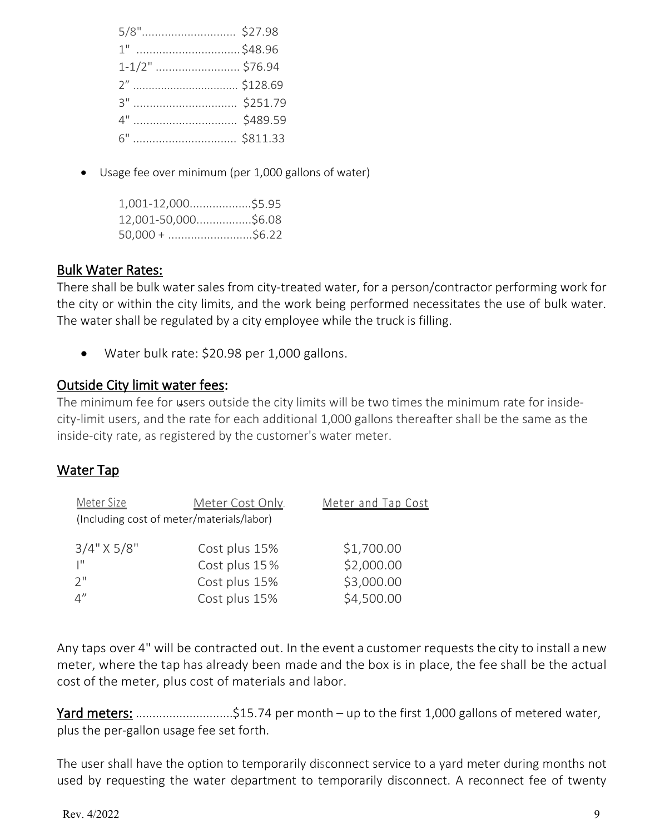| 1" \$48.96      |  |
|-----------------|--|
| 1-1/2"  \$76.94 |  |
|                 |  |
|                 |  |
|                 |  |
|                 |  |

• Usage fee over minimum (per 1,000 gallons of water)

| $1,001-12,000$ \$5.95 |  |
|-----------------------|--|
| 12,001-50,000\$6.08   |  |
| $50,000 + \dots$      |  |

#### Bulk Water Rates:

There shall be bulk water sales from city-treated water, for a person/contractor performing work for the city or within the city limits, and the work being performed necessitates the use of bulk water. The water shall be regulated by a city employee while the truck is filling.

• Water bulk rate: \$20.98 per 1,000 gallons.

### Outside City limit water fees:

The minimum fee for users outside the city limits will be two times the minimum rate for insidecity-limit users, and the rate for each additional 1,000 gallons thereafter shall be the same as the inside-city rate, as registered by the customer's water meter.

### Water Tap

| Meter Size                                | Meter Cost Only. | Meter and Tap Cost |
|-------------------------------------------|------------------|--------------------|
| (Including cost of meter/materials/labor) |                  |                    |
| $3/4$ " X 5/8"                            | Cost plus 15%    | \$1,700.00         |
| $\mathbf{I}^{\mathbf{H}}$                 | Cost plus 15%    | \$2,000.00         |
| $2^{\prime\prime}$                        | Cost plus 15%    | \$3,000.00         |
| 4''                                       | Cost plus 15%    | \$4,500.00         |

Any taps over 4" will be contracted out. In the event a customer requests the city to install a new meter, where the tap has already been made and the box is in place, the fee shall be the actual cost of the meter, plus cost of materials and labor.

Yard meters: ................................\$15.74 per month – up to the first 1,000 gallons of metered water, plus the per-gallon usage fee set forth.

The user shall have the option to temporarily disconnect service to a yard meter during months not used by requesting the water department to temporarily disconnect. A reconnect fee of twenty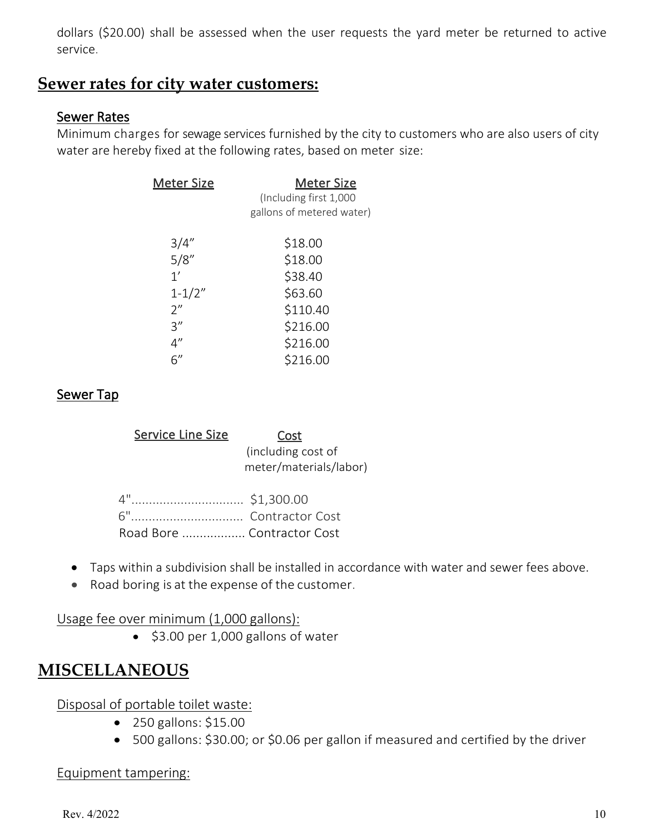dollars (\$20.00) shall be assessed when the user requests the yard meter be returned to active service.

### **Sewer rates for city water customers:**

### Sewer Rates

Minimum charges for sewage services furnished by the city to customers who are also users of city water are hereby fixed at the following rates, based on meter size:

| <b>Meter Size</b> | <u>Meter Size</u><br>(Including first 1,000<br>gallons of metered water) |
|-------------------|--------------------------------------------------------------------------|
| 3/4''             | \$18.00                                                                  |
| 5/8''             | \$18.00                                                                  |
| 1'                | \$38.40                                                                  |
| $1 - 1/2"$        | \$63.60                                                                  |
| 2"                | \$110.40                                                                 |
| 3''               | \$216.00                                                                 |
| 4''               | \$216.00                                                                 |
| 6''               | \$216.00                                                                 |

### Sewer Tap

| <b>Service Line Size</b> | Cost<br>(including cost of<br>meter/materials/labor) |
|--------------------------|------------------------------------------------------|
|                          |                                                      |
|                          |                                                      |
|                          | Road Bore  Contractor Cost                           |

- Taps within a subdivision shall be installed in accordance with water and sewer fees above.
- Road boring is at the expense of the customer.

Usage fee over minimum (1,000 gallons):

• \$3.00 per 1,000 gallons of water

### **MISCELLANEOUS**

Disposal of portable toilet waste:

- 250 gallons: \$15.00
- 500 gallons: \$30.00; or \$0.06 per gallon if measured and certified by the driver

#### Equipment tampering: